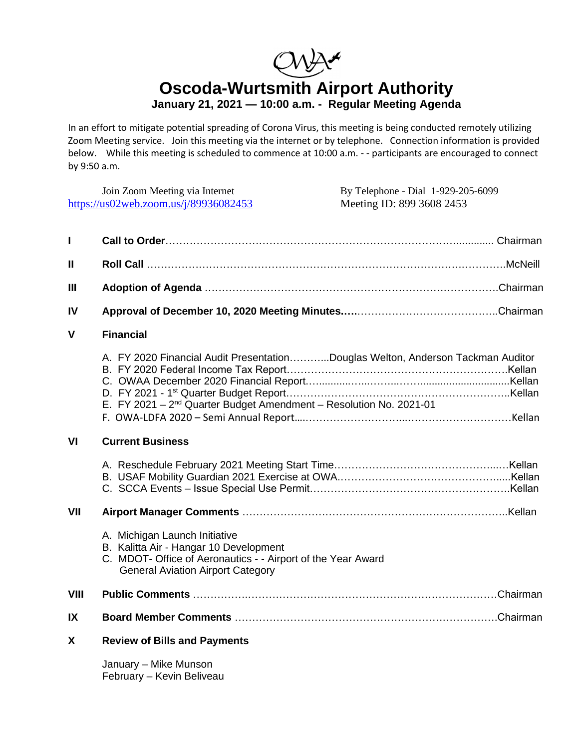

## **Oscoda-Wurtsmith Airport Authority**

**January 21, 2021 — 10:00 a.m. - Regular Meeting Agenda**

In an effort to mitigate potential spreading of Corona Virus, this meeting is being conducted remotely utilizing Zoom Meeting service. Join this meeting via the internet or by telephone. Connection information is provided below. While this meeting is scheduled to commence at 10:00 a.m. - - participants are encouraged to connect by 9:50 a.m.

Join Zoom Meeting via Internet By Telephone - Dial 1-929-205-6099 <https://us02web.zoom.us/j/89936082453> Meeting ID: 899 3608 2453

| $\mathbf{I}$            |                                                                                                                                                                                     |  |
|-------------------------|-------------------------------------------------------------------------------------------------------------------------------------------------------------------------------------|--|
| $\mathbf{I}$            |                                                                                                                                                                                     |  |
| III                     |                                                                                                                                                                                     |  |
| IV                      |                                                                                                                                                                                     |  |
| $\mathbf v$             | <b>Financial</b>                                                                                                                                                                    |  |
|                         | A. FY 2020 Financial Audit PresentationDouglas Welton, Anderson Tackman Auditor<br>E. FY 2021 - 2 <sup>nd</sup> Quarter Budget Amendment - Resolution No. 2021-01                   |  |
| VI                      | <b>Current Business</b>                                                                                                                                                             |  |
|                         |                                                                                                                                                                                     |  |
| VII                     |                                                                                                                                                                                     |  |
|                         | A. Michigan Launch Initiative<br>B. Kalitta Air - Hangar 10 Development<br>C. MDOT- Office of Aeronautics - - Airport of the Year Award<br><b>General Aviation Airport Category</b> |  |
| <b>VIII</b>             |                                                                                                                                                                                     |  |
| $\mathsf{I} \mathsf{X}$ |                                                                                                                                                                                     |  |
| X                       | <b>Review of Bills and Payments</b>                                                                                                                                                 |  |
|                         | January - Mike Munson<br>February - Kevin Beliveau                                                                                                                                  |  |